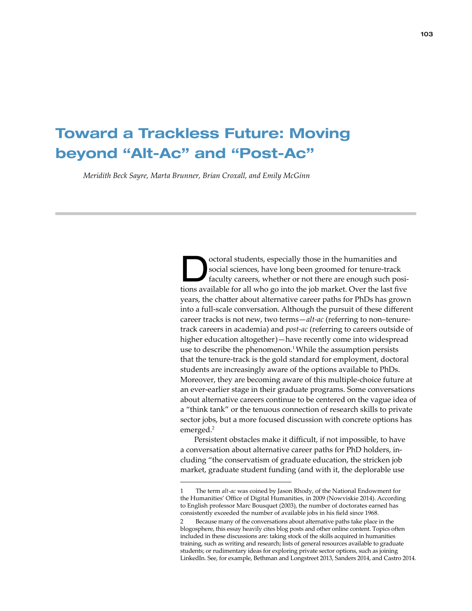# Toward a Trackless Future: Moving beyond "Alt-Ac" and "Post-Ac"

*Meridith Beck Sayre, Marta Brunner, Brian Croxall, and Emily McGinn*

Octoral students, especially those in the humanities and social sciences, have long been groomed for tenure-track faculty careers, whether or not there are enough such positions multiple faculty care in the spite that is n social sciences, have long been groomed for tenure-track tions available for all who go into the job market. Over the last five years, the chatter about alternative career paths for PhDs has grown into a full-scale conversation. Although the pursuit of these different career tracks is not new, two terms—*alt-ac* (referring to non–tenuretrack careers in academia) and *post-ac* (referring to careers outside of higher education altogether)—have recently come into widespread use to describe the phenomenon.<sup>1</sup> While the assumption persists that the tenure-track is the gold standard for employment, doctoral students are increasingly aware of the options available to PhDs. Moreover, they are becoming aware of this multiple-choice future at an ever-earlier stage in their graduate programs. Some conversations about alternative careers continue to be centered on the vague idea of a "think tank" or the tenuous connection of research skills to private sector jobs, but a more focused discussion with concrete options has emerged.<sup>2</sup>

Persistent obstacles make it difficult, if not impossible, to have a conversation about alternative career paths for PhD holders, including "the conservatism of graduate education, the stricken job market, graduate student funding (and with it, the deplorable use

<sup>1</sup> The term *alt-ac* was coined by Jason Rh[od](http://storify.com/nowviskie/altac-origin-stories)y, of the National Endowment for the Humanities' Office of Digital Humanities, in 2009 (Nowviskie 2014). According to English professor Marc Bousquet (2003), the number of doctorates earned has consistently exceeded the number of available jobs in his field since 1968.

Because many of the conversations about alternative paths take place in the blogosphere, this essay heavily cites blog posts and other online content. Topics often included in these discussions are: taking stock of the skills acquired in humanities training, such as writing and research; lists of general resources available to graduate students; or rudimentary ideas for exploring private sector options, such as joining LinkedIn. See, for example, Bethman and Longstreet 2013, Sanders 2014, and Castro 2014.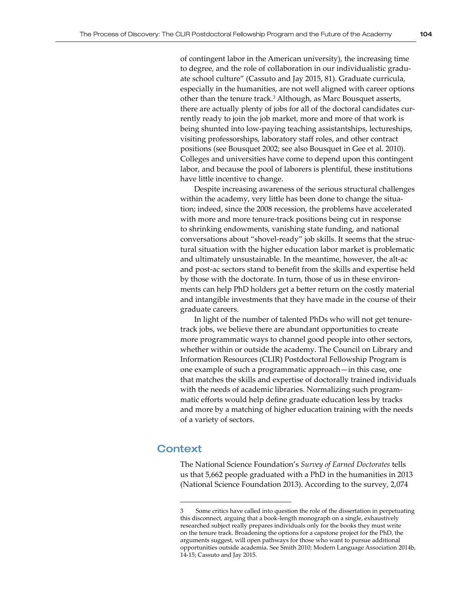of contingent labor in the American university), the increasing time to degree, and the role of collaboration in our individualistic graduate school culture" (Cassuto and Jay 2015, 81). Graduate curricula, especially in the humanities, are not well aligned with career options other than the tenure track.<sup>3</sup> Although, as Marc Bousquet asserts, there are actually plenty of jobs for all of the doctoral candidates currently ready to join the job market, more and more of that work is being shunted into low-paying teaching assistantships, lectureships, visiting professorships, laboratory staff roles, and other contract positions (see Bousquet 2002; see also Bousquet in Gee et al. 2010). Colleges and universities have come to depend upon this contingent labor, and because the pool of laborers is plentiful, these institutions have little incentive to change.

Despite increasing awareness of the serious structural challenges within the academy, very little has been done to change the situation; indeed, since the 2008 recession, the problems have accelerated with more and more tenure-track positions being cut in response to shrinking endowments, vanishing state funding, and national conversations about "shovel-ready" job skills. It seems that the structural situation with the higher education labor market is problematic and ultimately unsustainable. In the meantime, however, the alt-ac and post-ac sectors stand to benefit from the skills and expertise held by those with the doctorate. In turn, those of us in these environments can help PhD holders get a better return on the costly material and intangible investments that they have made in the course of their graduate careers.

In light of the number of talented PhDs who will not get tenuretrack jobs, we believe there are abundant opportunities to create more programmatic ways to channel good people into other sectors, whether within or outside the academy. The Council on Library and Information Resources (CLIR) Postdoctoral Fellowship Program is one example of such a programmatic approach—in this case, one that matches the skills and expertise of doctorally trained individuals with the needs of academic libraries. Normalizing such programmatic efforts would help define graduate education less by tracks and more by a matching of higher education training with the needs of a variety of sectors.

## **Context**

The National Science Foundation's *Survey of Earned Doctorates* tells us that 5,662 people graduated with a PhD in the humanities in 2013 (National Science Foundation 2013). According to the survey, 2,074

<sup>3</sup> Some critics have called into question the role of the dissertation in perpetuating this disconnect, arguing that a book-length monograph on a single, exhaustively researched subject really prepares individuals only for the books they must write on the tenure track. Broadening the options for a capstone project for the PhD, the arguments suggest, will open pathways for those who want to pursue additional opportunities outside academia. See Smith 2010; Modern Language Association 2014b, 14-15; Cassuto and Jay 2015.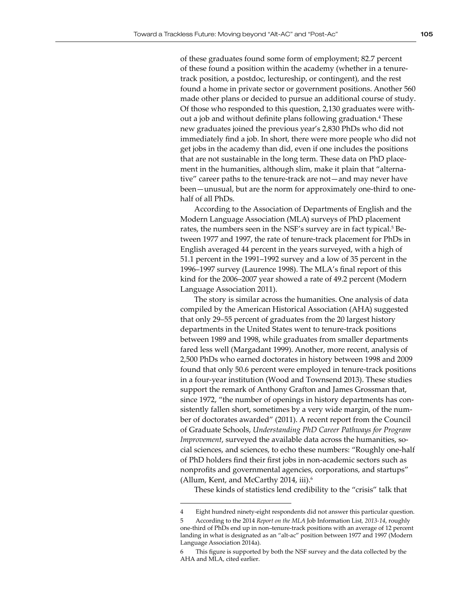of these graduates found some form of employment; 82.7 percent of these found a position within the academy (whether in a tenuretrack position, a postdoc, lectureship, or contingent), and the rest found a home in private sector or government positions. Another 560 made other plans or decided to pursue an additional course of study. Of those who responded to this question, 2,130 graduates were without a job and without definite plans following graduation.<sup>4</sup> These new graduates joined the previous year's 2,830 PhDs who did not immediately find a job. In short, there were more people who did not get jobs in the academy than did, even if one includes the positions that are not sustainable in the long term. These data on PhD placement in the humanities, although slim, make it plain that "alternative" career paths to the tenure-track are not—and may never have been—unusual, but are the norm for approximately one-third to onehalf of all PhDs.

According to the Association of Departments of English and the Modern Language Association (MLA) surveys of PhD placement rates, the numbers seen in the NSF's survey are in fact typical.<sup>5</sup> Between 1977 and 1997, the rate of tenure-track placement for PhDs in English averaged 44 percent in the years surveyed, with a high of 51.1 percent in the 1991–1992 survey and a low of 35 percent in the 1996–1997 survey (Laurence 1998). The MLA's final report of this kind for the 2006–2007 year showed a rate of 49.2 percent (Modern Language Association 2011).

The story is similar across the humanities. One analysis of data compiled by the American Historical Association (AHA) suggested that only 29–55 percent of graduates from the 20 largest history departments in the United States went to tenure-track positions between 1989 and 1998, while graduates from smaller departments fared less well (Margadant 1999). Another, more recent, analysis of 2,500 PhDs who earned doctorates in history between 1998 and 2009 found that only 50.6 percent were employed in tenure-track positions in a four-year institution (Wood and Townsend 2013). These studies support the remark of Anthony Grafton and James Grossman that, since 1972, "the number of openings in history departments has consistently fallen short, sometimes by a very wide margin, of the number of doctorates awarded" (2011). A recent report from the Council of Graduate Schools, *Understanding PhD Career Pathways for Program Improvement*, surveyed the available data across the humanities, social sciences, and sciences, to echo these numbers: "Roughly one-half of PhD holders find their first jobs in non-academic sectors such as nonprofits and governmental agencies, corporations, and startups" (Allum, Kent, and McCarthy 2014, iii).<sup>6</sup>

These kinds of statistics lend credibility to the "crisis" talk that

<sup>4</sup> Eight hundred ninety-eight respondents did not answer this particular question.

<sup>5</sup> According to the 2014 *Report on the MLA* Job Information List*, 2013-14*, roughly one-third of PhDs end up in non–tenure-track positions with an average of 12 percent landing in what is designated as an "alt-ac" position between 1977 and 1997 (Modern Language Association 2014a).

<sup>6</sup> This figure is supported by both the NSF survey and the data collected by the AHA and MLA, cited earlier.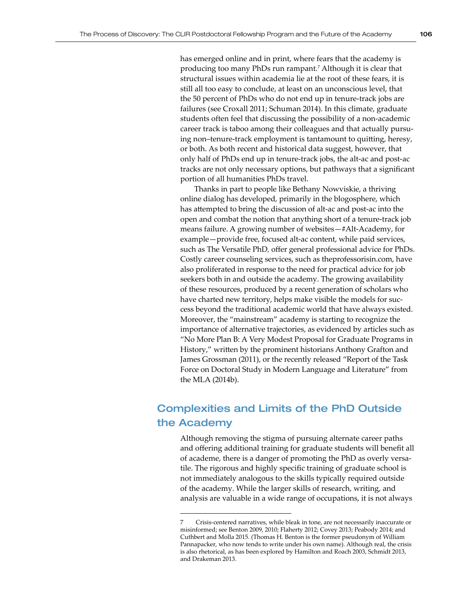has emerged online and in print, where fears that the academy is producing too many PhDs run rampant.<sup>7</sup> Although it is clear that structural issues within academia lie at the root of these fears, it is still all too easy to conclude, at least on an unconscious level, that the 50 percent of PhDs who do not end up in tenure-track jobs are failures (see Croxall 2011; Schuman 2014). In this climate, graduate students often feel that discussing the possibility of a non-academic career track is taboo among their colleagues and that actually pursuing non–tenure-track employment is tantamount to quitting, heresy, or both. As both recent and historical data suggest, however, that only half of PhDs end up in tenure-track jobs, the alt-ac and post-ac tracks are not only necessary options, but pathways that a significant portion of all humanities PhDs travel.

Thanks in part to people like Bethany Nowviskie, a thriving online dialog has developed, primarily in the blogosphere, which has attempted to bring the discussion of alt-ac and post-ac into the open and combat the notion that anything short of a tenure-track job means failure. A growing number of websites—#Alt-Academy, for example—provide free, focused alt-ac content, while paid services, such as The Versatile PhD*,* offer general professional advice for PhDs. Costly career counseling services, such as theprofessorisin.com, have also proliferated in response to the need for practical advice for job seekers both in and outside the academy. The growing availability of these resources, produced by a recent generation of scholars who have charted new territory, helps make visible the models for success beyond the traditional academic world that have always existed. Moreover, the "mainstream" academy is starting to recognize the importance of alternative trajectories, as evidenced by articles such as "No More Plan B: A Very Modest Proposal for Graduate Programs in History," written by the prominent historians Anthony Grafton and James Grossman (2011), or the recently released "Report of the Task Force on Doctoral Study in Modern Language and Literature" from the MLA (2014b).

# Complexities and Limits of the PhD Outside the Academy

Although removing the stigma of pursuing alternate career paths and offering additional training for graduate students will benefit all of academe, there is a danger of promoting the PhD as overly versatile. The rigorous and highly specific training of graduate school is not immediately analogous to the skills typically required outside of the academy. While the larger skills of research, writing, and analysis are valuable in a wide range of occupations, it is not always

<sup>7</sup> Crisis-centered narratives, while bleak in tone, are not necessarily inaccurate or misinformed; see Benton 2009, 2010; Flaherty 2012; Covey 2013; Peabody 2014; and Cuthbert and Molla 2015. (Thomas H. Benton is the former pseudonym of William Pannapacker, who now tends to write under his own name). Although real, the crisis is also rhetorical, as has been explored by Hamilton and Roach 2003, Schmidt 2013, and Drakeman 2013.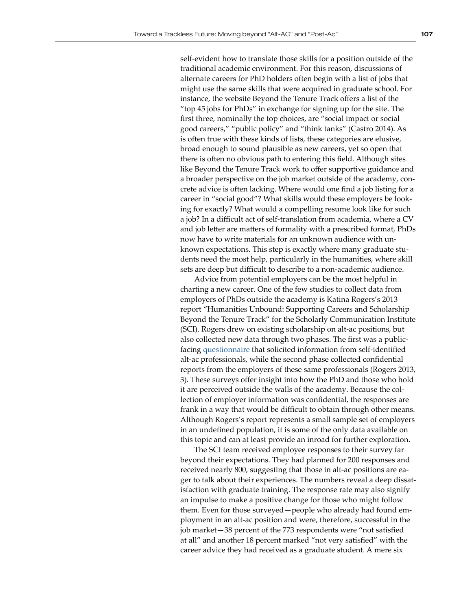self-evident how to translate those skills for a position outside of the traditional academic environment. For this reason, discussions of alternate careers for PhD holders often begin with a list of jobs that might use the same skills that were acquired in graduate school. For instance, the website Beyond the Tenure Track offers a list of the "top 45 jobs for PhDs" in exchange for signing up for the site. The first three, nominally the top choices, are "social impact or social good careers," "public policy" and "think tanks" (Castro 2014). As is often true with these kinds of lists, these categories are elusive, broad enough to sound plausible as new careers, yet so open that there is often no obvious path to entering this field. Although sites like Beyond the Tenure Track work to offer supportive guidance and a broader perspective on the job market outside of the academy, concrete advice is often lacking. Where would one find a job listing for a career in "social good"? What skills would these employers be looking for exactly? What would a compelling resume look like for such a job? In a difficult act of self-translation from academia, where a CV and job letter are matters of formality with a prescribed format, PhDs now have to write materials for an unknown audience with unknown expectations. This step is exactly where many graduate students need the most help, particularly in the humanities, where skill sets are deep but difficult to describe to a non-academic audience.

Advice from potential employers can be the most helpful in charting a new career. One of the few studies to collect data from employers of PhDs outside the academy is Katina Rogers's 2013 report "Humanities Unbound: Supporting Careers and Scholarship Beyond the Tenure Track" for the Scholarly Communication Institute (SCI). Rogers drew on existing scholarship on alt-ac positions, but also collected new data through two phases. The first was a publicfacing [questionnaire](http://libra.virginia.edu/catalog/libra-oa:3500) that solicited information from self-identified alt-ac professionals, while the second phase collected confidential reports from the employers of these same professionals (Rogers 2013, 3). These surveys offer insight into how the PhD and those who hold it are perceived outside the walls of the academy. Because the collection of employer information was confidential, the responses are frank in a way that would be difficult to obtain through other means. Although Rogers's report represents a small sample set of employers in an undefined population, it is some of the only data available on this topic and can at least provide an inroad for further exploration.

The SCI team received employee responses to their survey far beyond their expectations. They had planned for 200 responses and received nearly 800, suggesting that those in alt-ac positions are eager to talk about their experiences. The numbers reveal a deep dissatisfaction with graduate training. The response rate may also signify an impulse to make a positive change for those who might follow them. Even for those surveyed—people who already had found employment in an alt-ac position and were, therefore, successful in the job market—38 percent of the 773 respondents were "not satisfied at all" and another 18 percent marked "not very satisfied" with the career advice they had received as a graduate student. A mere six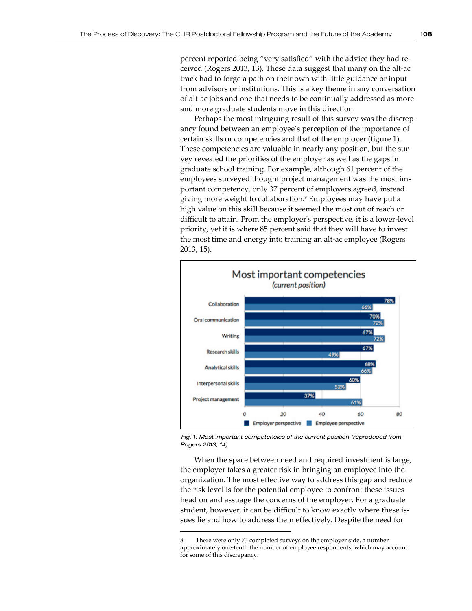percent reported being "very satisfied" with the advice they had received (Rogers 2013, 13). These data suggest that many on the alt-ac track had to forge a path on their own with little guidance or input from advisors or institutions. This is a key theme in any conversation of alt-ac jobs and one that needs to be continually addressed as more and more graduate students move in this direction.

Perhaps the most intriguing result of this survey was the discrepancy found between an employee's perception of the importance of certain skills or competencies and that of the employer (figure 1). These competencies are valuable in nearly any position, but the survey revealed the priorities of the employer as well as the gaps in graduate school training. For example, although 61 percent of the employees surveyed thought project management was the most important competency, only 37 percent of employers agreed, instead giving more weight to collaboration.<sup>8</sup> Employees may have put a high value on this skill because it seemed the most out of reach or difficult to attain. From the employer's perspective, it is a lower-level priority, yet it is where 85 percent said that they will have to invest the most time and energy into training an alt-ac employee (Rogers 2013, 15).



*Fig. 1: Most important competencies of the current position (reproduced from Rogers 2013, 14)*

When the space between need and required investment is large, the employer takes a greater risk in bringing an employee into the organization. The most effective way to address this gap and reduce the risk level is for the potential employee to confront these issues head on and assuage the concerns of the employer. For a graduate student, however, it can be difficult to know exactly where these issues lie and how to address them effectively. Despite the need for

<sup>8</sup> There were only 73 completed surveys on the employer side, a number approximately one-tenth the number of employee respondents, which may account for some of this discrepancy.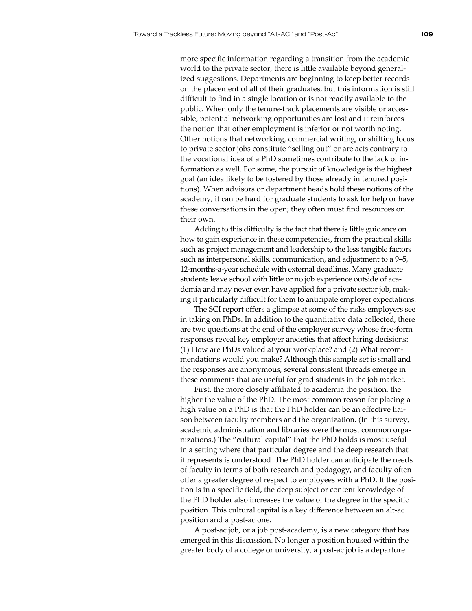more specific information regarding a transition from the academic world to the private sector, there is little available beyond generalized suggestions. Departments are beginning to keep better records on the placement of all of their graduates, but this information is still difficult to find in a single location or is not readily available to the public. When only the tenure-track placements are visible or accessible, potential networking opportunities are lost and it reinforces the notion that other employment is inferior or not worth noting. Other notions that networking, commercial writing, or shifting focus to private sector jobs constitute "selling out" or are acts contrary to the vocational idea of a PhD sometimes contribute to the lack of information as well. For some, the pursuit of knowledge is the highest goal (an idea likely to be fostered by those already in tenured positions). When advisors or department heads hold these notions of the academy, it can be hard for graduate students to ask for help or have these conversations in the open; they often must find resources on their own.

Adding to this difficulty is the fact that there is little guidance on how to gain experience in these competencies, from the practical skills such as project management and leadership to the less tangible factors such as interpersonal skills, communication, and adjustment to a 9–5, 12-months-a-year schedule with external deadlines. Many graduate students leave school with little or no job experience outside of academia and may never even have applied for a private sector job, making it particularly difficult for them to anticipate employer expectations.

The SCI report offers a glimpse at some of the risks employers see in taking on PhDs. In addition to the quantitative data collected, there are two questions at the end of the employer survey whose free-form responses reveal key employer anxieties that affect hiring decisions: (1) How are PhDs valued at your workplace? and (2) What recommendations would you make? Although this sample set is small and the responses are anonymous, several consistent threads emerge in these comments that are useful for grad students in the job market.

First, the more closely affiliated to academia the position, the higher the value of the PhD. The most common reason for placing a high value on a PhD is that the PhD holder can be an effective liaison between faculty members and the organization. (In this survey, academic administration and libraries were the most common organizations.) The "cultural capital" that the PhD holds is most useful in a setting where that particular degree and the deep research that it represents is understood. The PhD holder can anticipate the needs of faculty in terms of both research and pedagogy, and faculty often offer a greater degree of respect to employees with a PhD. If the position is in a specific field, the deep subject or content knowledge of the PhD holder also increases the value of the degree in the specific position. This cultural capital is a key difference between an alt-ac position and a post-ac one.

A post-ac job, or a job post-academy, is a new category that has emerged in this discussion. No longer a position housed within the greater body of a college or university, a post-ac job is a departure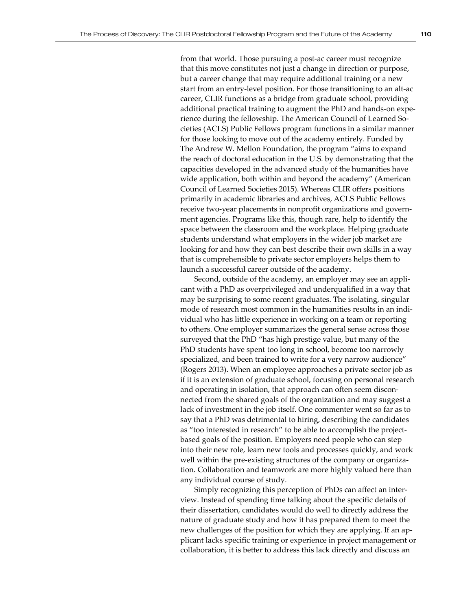from that world. Those pursuing a post-ac career must recognize that this move constitutes not just a change in direction or purpose, but a career change that may require additional training or a new start from an entry-level position. For those transitioning to an alt-ac career, CLIR functions as a bridge from graduate school, providing additional practical training to augment the PhD and hands-on experience during the fellowship. The American Council of Learned Societies (ACLS) Public Fellows program functions in a similar manner for those looking to move out of the academy entirely. Funded by The Andrew W. Mellon Foundation, the program "aims to expand the reach of doctoral education in the U.S. by demonstrating that the capacities developed in the advanced study of the humanities have wide application, both within and beyond the academy" (American Council of Learned Societies 2015). Whereas CLIR offers positions primarily in academic libraries and archives, ACLS Public Fellows receive two-year placements in nonprofit organizations and government agencies. Programs like this, though rare, help to identify the space between the classroom and the workplace. Helping graduate students understand what employers in the wider job market are looking for and how they can best describe their own skills in a way that is comprehensible to private sector employers helps them to launch a successful career outside of the academy.

Second, outside of the academy, an employer may see an applicant with a PhD as overprivileged and underqualified in a way that may be surprising to some recent graduates. The isolating, singular mode of research most common in the humanities results in an individual who has little experience in working on a team or reporting to others. One employer summarizes the general sense across those surveyed that the PhD "has high prestige value, but many of the PhD students have spent too long in school, become too narrowly specialized, and been trained to write for a very narrow audience" (Rogers 2013). When an employee approaches a private sector job as if it is an extension of graduate school, focusing on personal research and operating in isolation, that approach can often seem disconnected from the shared goals of the organization and may suggest a lack of investment in the job itself. One commenter went so far as to say that a PhD was detrimental to hiring, describing the candidates as "too interested in research" to be able to accomplish the projectbased goals of the position. Employers need people who can step into their new role, learn new tools and processes quickly, and work well within the pre-existing structures of the company or organization. Collaboration and teamwork are more highly valued here than any individual course of study.

Simply recognizing this perception of PhDs can affect an interview. Instead of spending time talking about the specific details of their dissertation, candidates would do well to directly address the nature of graduate study and how it has prepared them to meet the new challenges of the position for which they are applying. If an applicant lacks specific training or experience in project management or collaboration, it is better to address this lack directly and discuss an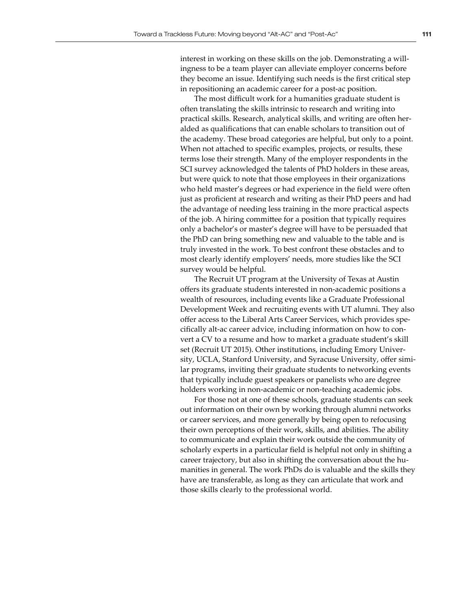interest in working on these skills on the job. Demonstrating a willingness to be a team player can alleviate employer concerns before they become an issue. Identifying such needs is the first critical step in repositioning an academic career for a post-ac position.

The most difficult work for a humanities graduate student is often translating the skills intrinsic to research and writing into practical skills. Research, analytical skills, and writing are often heralded as qualifications that can enable scholars to transition out of the academy. These broad categories are helpful, but only to a point. When not attached to specific examples, projects, or results, these terms lose their strength. Many of the employer respondents in the SCI survey acknowledged the talents of PhD holders in these areas, but were quick to note that those employees in their organizations who held master's degrees or had experience in the field were often just as proficient at research and writing as their PhD peers and had the advantage of needing less training in the more practical aspects of the job. A hiring committee for a position that typically requires only a bachelor's or master's degree will have to be persuaded that the PhD can bring something new and valuable to the table and is truly invested in the work. To best confront these obstacles and to most clearly identify employers' needs, more studies like the SCI survey would be helpful.

The Recruit UT program at the University of Texas at Austin offers its graduate students interested in non-academic positions a wealth of resources, including events like a Graduate Professional Development Week and recruiting events with UT alumni. They also offer access to the Liberal Arts Career Services, which provides specifically alt-ac career advice, including information on how to convert a CV to a resume and how to market a graduate student's skill set (Recruit UT 2015). Other institutions, including Emory University, UCLA, Stanford University, and Syracuse University, offer similar programs, inviting their graduate students to networking events that typically include guest speakers or panelists who are degree holders working in non-academic or non-teaching academic jobs.

For those not at one of these schools, graduate students can seek out information on their own by working through alumni networks or career services, and more generally by being open to refocusing their own perceptions of their work, skills, and abilities. The ability to communicate and explain their work outside the community of scholarly experts in a particular field is helpful not only in shifting a career trajectory, but also in shifting the conversation about the humanities in general. The work PhDs do is valuable and the skills they have are transferable, as long as they can articulate that work and those skills clearly to the professional world.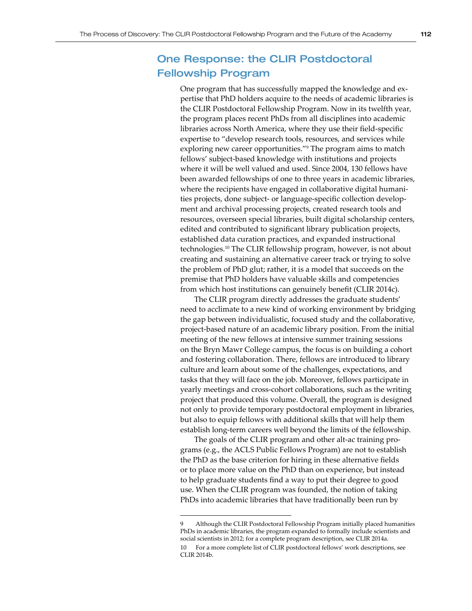# One Response: the CLIR Postdoctoral Fellowship Program

One program that has successfully mapped the knowledge and expertise that PhD holders acquire to the needs of academic libraries is the CLIR Postdoctoral Fellowship Program. Now in its twelfth year, the program places recent PhDs from all disciplines into academic libraries across North America, where they use their field-specific expertise to "develop research tools, resources, and services while exploring new career opportunities."<sup>9</sup> The program aims to match fellows' subject-based knowledge with institutions and projects where it will be well valued and used. Since 2004, 130 fellows have been awarded fellowships of one to three years in academic libraries, where the recipients have engaged in collaborative digital humanities projects, done subject- or language-specific collection development and archival processing projects, created research tools and resources, overseen special libraries, built digital scholarship centers, edited and contributed to significant library publication projects, established data curation practices, and expanded instructional technologies.10 The CLIR fellowship program, however, is not about creating and sustaining an alternative career track or trying to solve the problem of PhD glut; rather, it is a model that succeeds on the premise that PhD holders have valuable skills and competencies from which host institutions can genuinely benefit (CLIR 2014c).

The CLIR program directly addresses the graduate students' need to acclimate to a new kind of working environment by bridging the gap between individualistic, focused study and the collaborative, project-based nature of an academic library position. From the initial meeting of the new fellows at intensive summer training sessions on the Bryn Mawr College campus, the focus is on building a cohort and fostering collaboration. There, fellows are introduced to library culture and learn about some of the challenges, expectations, and tasks that they will face on the job. Moreover, fellows participate in yearly meetings and cross-cohort collaborations, such as the writing project that produced this volume. Overall, the program is designed not only to provide temporary postdoctoral employment in libraries, but also to equip fellows with additional skills that will help them establish long-term careers well beyond the limits of the fellowship.

The goals of the CLIR program and other alt-ac training programs (e.g., the ACLS Public Fellows Program) are not to establish the PhD as the base criterion for hiring in these alternative fields or to place more value on the PhD than on experience, but instead to help graduate students find a way to put their degree to good use. When the CLIR program was founded, the notion of taking PhDs into academic libraries that have traditionally been run by

<sup>9</sup> Although the CLIR Postdoctoral Fellowship Program initially placed humanities PhDs in academic libraries, the program expanded to formally include scientists and social scientists in 2012; for a complete program description, see CLIR 2014a. 10 For a more complete list of CLIR postdoctoral fellows' work descriptions, see CLIR 2014b.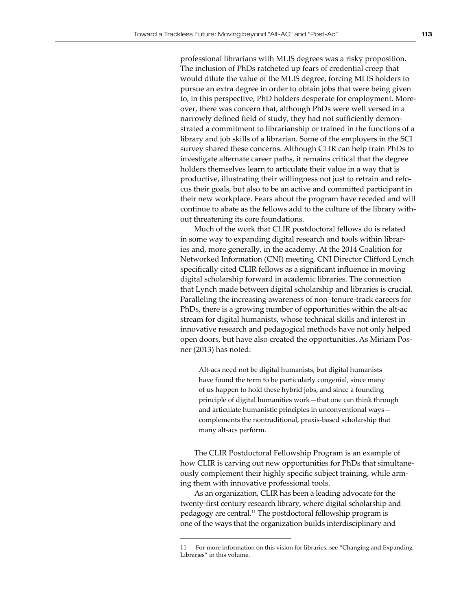professional librarians with MLIS degrees was a risky proposition. The inclusion of PhDs ratcheted up fears of credential creep that would dilute the value of the MLIS degree, forcing MLIS holders to pursue an extra degree in order to obtain jobs that were being given to, in this perspective, PhD holders desperate for employment. Moreover, there was concern that, although PhDs were well versed in a narrowly defined field of study, they had not sufficiently demonstrated a commitment to librarianship or trained in the functions of a library and job skills of a librarian. Some of the employers in the SCI survey shared these concerns. Although CLIR can help train PhDs to investigate alternate career paths, it remains critical that the degree holders themselves learn to articulate their value in a way that is productive, illustrating their willingness not just to retrain and refocus their goals, but also to be an active and committed participant in their new workplace. Fears about the program have receded and will continue to abate as the fellows add to the culture of the library without threatening its core foundations.

Much of the work that CLIR postdoctoral fellows do is related in some way to expanding digital research and tools within libraries and, more generally, in the academy. At the 2014 Coalition for Networked Information (CNI) meeting, CNI Director Clifford Lynch specifically cited CLIR fellows as a significant influence in moving digital scholarship forward in academic libraries. The connection that Lynch made between digital scholarship and libraries is crucial. Paralleling the increasing awareness of non–tenure-track careers for PhDs, there is a growing number of opportunities within the alt-ac stream for digital humanists, whose technical skills and interest in innovative research and pedagogical methods have not only helped open doors, but have also created the opportunities. As Miriam Posner (2013) has noted:

Alt-acs need not be digital humanists, but digital humanists have found the term to be particularly congenial, since many of us happen to hold these hybrid jobs, and since a founding principle of digital humanities work—that one can think through and articulate humanistic principles in unconventional ways complements the nontraditional, praxis-based scholarship that many alt-acs perform.

The CLIR Postdoctoral Fellowship Program is an example of how CLIR is carving out new opportunities for PhDs that simultaneously complement their highly specific subject training, while arming them with innovative professional tools.

As an organization, CLIR has been a leading advocate for the twenty-first century research library, where digital scholarship and pedagogy are central.<sup>11</sup> The postdoctoral fellowship program is one of the ways that the organization builds interdisciplinary and

<sup>11</sup> For more information on this vision for libraries, see "Changing and Expanding Libraries" in this volume.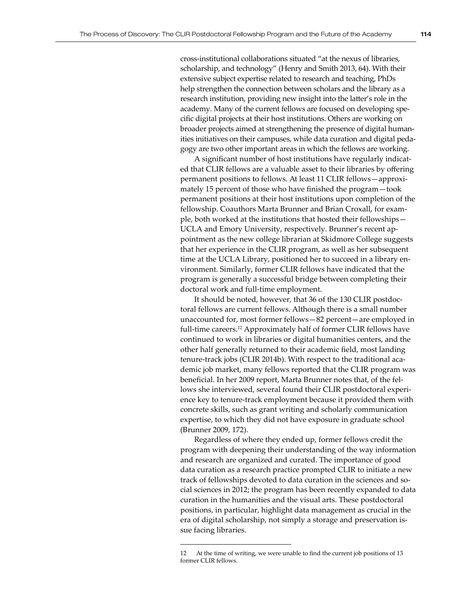cross-institutional collaborations situated "at the nexus of libraries, scholarship, and technology" (Henry and Smith 2013, 64). With their extensive subject expertise related to research and teaching, PhDs help strengthen the connection between scholars and the library as a research institution, providing new insight into the latter's role in the academy. Many of the current fellows are focused on developing specific digital projects at their host institutions. Others are working on broader projects aimed at strengthening the presence of digital humanities initiatives on their campuses, while data curation and digital pedagogy are two other important areas in which the fellows are working.

A significant number of host institutions have regularly indicated that CLIR fellows are a valuable asset to their libraries by offering permanent positions to fellows. At least 11 CLIR fellows—approximately 15 percent of those who have finished the program—took permanent positions at their host institutions upon completion of the fellowship. Coauthors Marta Brunner and Brian Croxall, for example, both worked at the institutions that hosted their fellowships— UCLA and Emory University, respectively. Brunner's recent appointment as the new college librarian at Skidmore College suggests that her experience in the CLIR program, as well as her subsequent time at the UCLA Library, positioned her to succeed in a library environment. Similarly, former CLIR fellows have indicated that the program is generally a successful bridge between completing their doctoral work and full-time employment.

It should be noted, however, that 36 of the 130 CLIR postdoctoral fellows are current fellows. Although there is a small number unaccounted for, most former fellows—82 percent—are employed in full-time careers.<sup>12</sup> Approximately half of former CLIR fellows have continued to work in libraries or digital humanities centers, and the other half generally returned to their academic field, most landing tenure-track jobs (CLIR 2014b). With respect to the traditional academic job market, many fellows reported that the CLIR program was beneficial. In her 2009 report, Marta Brunner notes that, of the fellows she interviewed, several found their CLIR postdoctoral experience key to tenure-track employment because it provided them with concrete skills, such as grant writing and scholarly communication expertise, to which they did not have exposure in graduate school (Brunner 2009, 172).

Regardless of where they ended up, former fellows credit the program with deepening their understanding of the way information and research are organized and curated. The importance of good data curation as a research practice prompted CLIR to initiate a new track of fellowships devoted to data curation in the sciences and social sciences in 2012; the program has been recently expanded to data curation in the humanities and the visual arts. These postdoctoral positions, in particular, highlight data management as crucial in the era of digital scholarship, not simply a storage and preservation issue facing libraries.

<sup>12</sup> At the time of writing, we were unable to find the current job positions of 13 former CLIR fellows.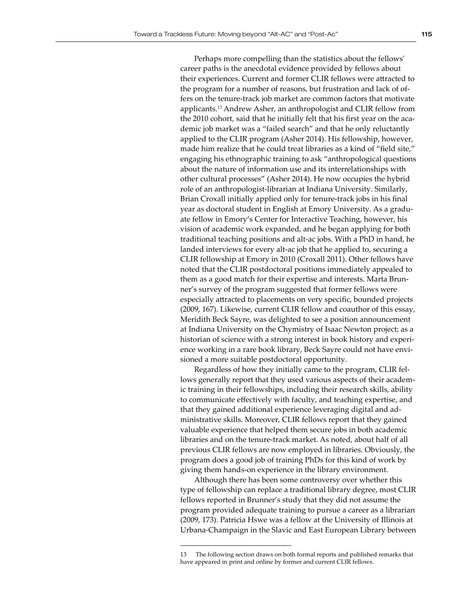Perhaps more compelling than the statistics about the fellows' career paths is the anecdotal evidence provided by fellows about their experiences. Current and former CLIR fellows were attracted to the program for a number of reasons, but frustration and lack of offers on the tenure-track job market are common factors that motivate applicants.<sup>13</sup> Andrew Asher, an anthropologist and CLIR fellow from the 2010 cohort, said that he initially felt that his first year on the academic job market was a "failed search" and that he only reluctantly applied to the CLIR program (Asher 2014). His fellowship, however, made him realize that he could treat libraries as a kind of "field site," engaging his ethnographic training to ask "anthropological questions about the nature of information use and its interrelationships with other cultural processes" (Asher 2014). He now occupies the hybrid role of an anthropologist-librarian at Indiana University. Similarly, Brian Croxall initially applied only for tenure-track jobs in his final year as doctoral student in English at Emory University. As a graduate fellow in Emory's Center for Interactive Teaching, however, his vision of academic work expanded, and he began applying for both traditional teaching positions and alt-ac jobs. With a PhD in hand, he landed interviews for every alt-ac job that he applied to, securing a CLIR fellowship at Emory in 2010 (Croxall 2011). Other fellows have noted that the CLIR postdoctoral positions immediately appealed to them as a good match for their expertise and interests. Marta Brunner's survey of the program suggested that former fellows were especially attracted to placements on very specific, bounded projects (2009, 167). Likewise, current CLIR fellow and coauthor of this essay, Meridith Beck Sayre, was delighted to see a position announcement at Indiana University on the Chymistry of Isaac Newton project; as a historian of science with a strong interest in book history and experience working in a rare book library, Beck Sayre could not have envisioned a more suitable postdoctoral opportunity.

Regardless of how they initially came to the program, CLIR fellows generally report that they used various aspects of their academic training in their fellowships, including their research skills, ability to communicate effectively with faculty, and teaching expertise, and that they gained additional experience leveraging digital and administrative skills. Moreover, CLIR fellows report that they gained valuable experience that helped them secure jobs in both academic libraries and on the tenure-track market. As noted, about half of all previous CLIR fellows are now employed in libraries. Obviously, the program does a good job of training PhDs for this kind of work by giving them hands-on experience in the library environment.

Although there has been some controversy over whether this type of fellowship can replace a traditional library degree, most CLIR fellows reported in Brunner's study that they did not assume the program provided adequate training to pursue a career as a librarian (2009, 173). Patricia Hswe was a fellow at the University of Illinois at Urbana-Champaign in the Slavic and East European Library between

<sup>13</sup> The following section draws on both formal reports and published remarks that have appeared in print and online by former and current CLIR fellows.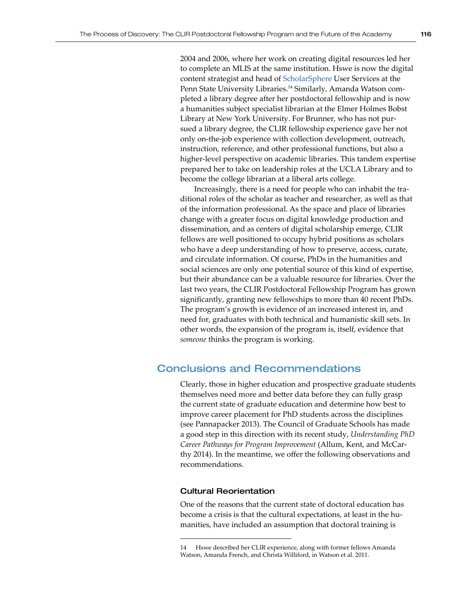2004 and 2006, where her work on creating digital resources led her to complete an MLIS at the same institution. Hswe is now the digital content strategist and head of [ScholarSphere](https://scholarsphere.psu.edu/) User Services at the Penn State University Libraries.<sup>14</sup> Similarly, Amanda Watson completed a library degree after her postdoctoral fellowship and is now a humanities subject specialist librarian at the Elmer Holmes Bobst Library at New York University. For Brunner, who has not pursued a library degree, the CLIR fellowship experience gave her not only on-the-job experience with collection development, outreach, instruction, reference, and other professional functions, but also a higher-level perspective on academic libraries. This tandem expertise prepared her to take on leadership roles at the UCLA Library and to become the college librarian at a liberal arts college.

Increasingly, there is a need for people who can inhabit the traditional roles of the scholar as teacher and researcher, as well as that of the information professional. As the space and place of libraries change with a greater focus on digital knowledge production and dissemination, and as centers of digital scholarship emerge, CLIR fellows are well positioned to occupy hybrid positions as scholars who have a deep understanding of how to preserve, access, curate, and circulate information. Of course, PhDs in the humanities and social sciences are only one potential source of this kind of expertise, but their abundance can be a valuable resource for libraries. Over the last two years, the CLIR Postdoctoral Fellowship Program has grown significantly, granting new fellowships to more than 40 recent PhDs. The program's growth is evidence of an increased interest in, and need for, graduates with both technical and humanistic skill sets. In other words, the expansion of the program is, itself, evidence that *someone* thinks the program is working.

### Conclusions and Recommendations

Clearly, those in higher education and prospective graduate students themselves need more and better data before they can fully grasp the current state of graduate education and determine how best to improve career placement for PhD students across the disciplines (see Pannapacker 2013). The Council of Graduate Schools has made a good step in this direction with its recent study, *Understanding PhD Career Pathways for Program Improvement* (Allum, Kent, and McCarthy 2014). In the meantime, we offer the following observations and recommendations.

#### Cultural Reorientation

One of the reasons that the current state of doctoral education has become a crisis is that the cultural expectations, at least in the humanities, have included an assumption that doctoral training is

<sup>14</sup> Hswe described her CLIR experience, along with former fellows Amanda Watson, Amanda French, and Christa Williford, in Watson et al. 2011.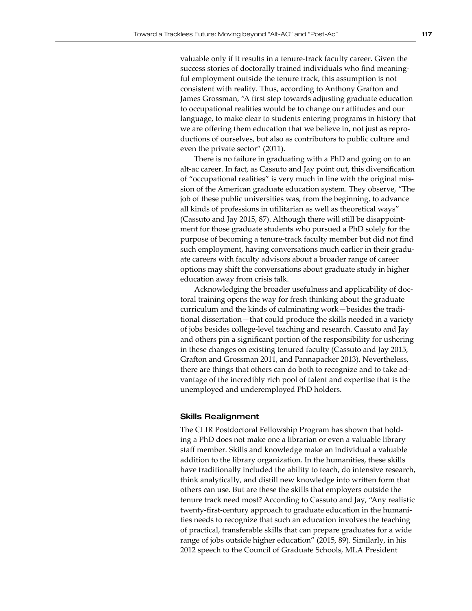valuable only if it results in a tenure-track faculty career. Given the success stories of doctorally trained individuals who find meaningful employment outside the tenure track, this assumption is not consistent with reality. Thus, according to Anthony Grafton and James Grossman, "A first step towards adjusting graduate education to occupational realities would be to change our attitudes and our language, to make clear to students entering programs in history that we are offering them education that we believe in, not just as reproductions of ourselves, but also as contributors to public culture and even the private sector" (2011).

There is no failure in graduating with a PhD and going on to an alt-ac career. In fact, as Cassuto and Jay point out, this diversification of "occupational realities" is very much in line with the original mission of the American graduate education system. They observe, "The job of these public universities was, from the beginning, to advance all kinds of professions in utilitarian as well as theoretical ways" (Cassuto and Jay 2015, 87). Although there will still be disappointment for those graduate students who pursued a PhD solely for the purpose of becoming a tenure-track faculty member but did not find such employment, having conversations much earlier in their graduate careers with faculty advisors about a broader range of career options may shift the conversations about graduate study in higher education away from crisis talk.

Acknowledging the broader usefulness and applicability of doctoral training opens the way for fresh thinking about the graduate curriculum and the kinds of culminating work—besides the traditional dissertation—that could produce the skills needed in a variety of jobs besides college-level teaching and research. Cassuto and Jay and others pin a significant portion of the responsibility for ushering in these changes on existing tenured faculty (Cassuto and Jay 2015, Grafton and Grossman 2011, and Pannapacker 2013). Nevertheless, there are things that others can do both to recognize and to take advantage of the incredibly rich pool of talent and expertise that is the unemployed and underemployed PhD holders.

#### Skills Realignment

The CLIR Postdoctoral Fellowship Program has shown that holding a PhD does not make one a librarian or even a valuable library staff member. Skills and knowledge make an individual a valuable addition to the library organization. In the humanities, these skills have traditionally included the ability to teach, do intensive research, think analytically, and distill new knowledge into written form that others can use. But are these the skills that employers outside the tenure track need most? According to Cassuto and Jay, "Any realistic twenty-first-century approach to graduate education in the humanities needs to recognize that such an education involves the teaching of practical, transferable skills that can prepare graduates for a wide range of jobs outside higher education" (2015, 89). Similarly, in his 2012 speech to the Council of Graduate Schools, MLA President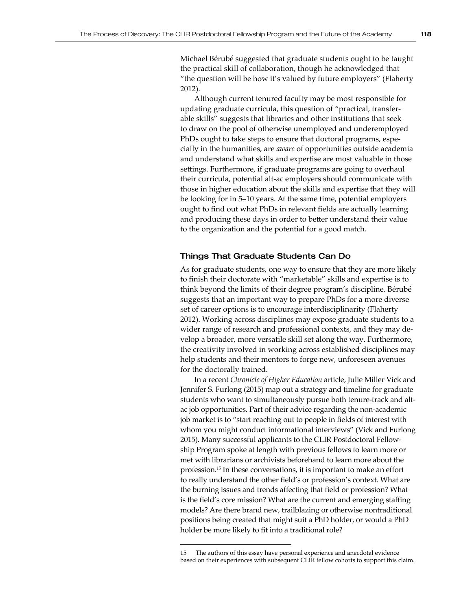Michael Bérubé suggested that graduate students ought to be taught the practical skill of collaboration, though he acknowledged that "the question will be how it's valued by future employers" (Flaherty 2012)

Although current tenured faculty may be most responsible for updating graduate curricula, this question of "practical, transferable skills" suggests that libraries and other institutions that seek to draw on the pool of otherwise unemployed and underemployed PhDs ought to take steps to ensure that doctoral programs, especially in the humanities, are *aware* of opportunities outside academia and understand what skills and expertise are most valuable in those settings. Furthermore, if graduate programs are going to overhaul their curricula, potential alt-ac employers should communicate with those in higher education about the skills and expertise that they will be looking for in 5–10 years. At the same time, potential employers ought to find out what PhDs in relevant fields are actually learning and producing these days in order to better understand their value to the organization and the potential for a good match.

#### Things That Graduate Students Can Do

As for graduate students, one way to ensure that they are more likely to finish their doctorate with "marketable" skills and expertise is to think beyond the limits of their degree program's discipline. Bérubé suggests that an important way to prepare PhDs for a more diverse set of career options is to encourage interdisciplinarity (Flaherty 2012). Working across disciplines may expose graduate students to a wider range of research and professional contexts, and they may develop a broader, more versatile skill set along the way. Furthermore, the creativity involved in working across established disciplines may help students and their mentors to forge new, unforeseen avenues for the doctorally trained.

In a recent *Chronicle of Higher Education* article, Julie Miller Vick and Jennifer S. Furlong (2015) map out a strategy and timeline for graduate students who want to simultaneously pursue both tenure-track and altac job opportunities. Part of their advice regarding the non-academic job market is to "start reaching out to people in fields of interest with whom you might conduct informational interviews" (Vick and Furlong 2015). Many successful applicants to the CLIR Postdoctoral Fellowship Program spoke at length with previous fellows to learn more or met with librarians or archivists beforehand to learn more about the profession.<sup>15</sup> In these conversations, it is important to make an effort to really understand the other field's or profession's context. What are the burning issues and trends affecting that field or profession? What is the field's core mission? What are the current and emerging staffing models? Are there brand new, trailblazing or otherwise nontraditional positions being created that might suit a PhD holder, or would a PhD holder be more likely to fit into a traditional role?

<sup>15</sup> The authors of this essay have personal experience and anecdotal evidence based on their experiences with subsequent CLIR fellow cohorts to support this claim.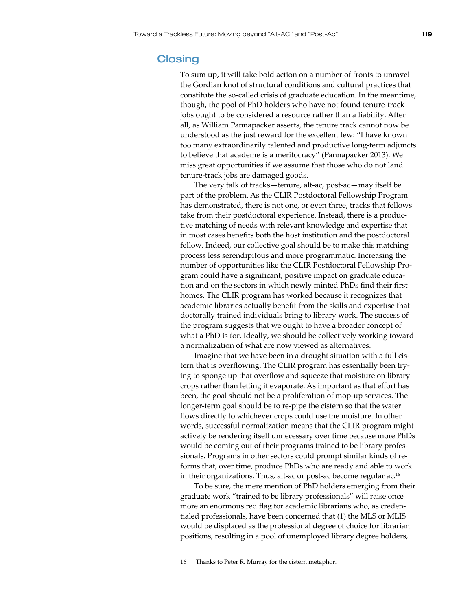### **Closing**

To sum up, it will take bold action on a number of fronts to unravel the Gordian knot of structural conditions and cultural practices that constitute the so-called crisis of graduate education. In the meantime, though, the pool of PhD holders who have not found tenure-track jobs ought to be considered a resource rather than a liability. After all, as William Pannapacker asserts, the tenure track cannot now be understood as the just reward for the excellent few: "I have known too many extraordinarily talented and productive long-term adjuncts to believe that academe is a meritocracy" (Pannapacker 2013). We miss great opportunities if we assume that those who do not land tenure-track jobs are damaged goods.

The very talk of tracks—tenure, alt-ac, post-ac—may itself be part of the problem. As the CLIR Postdoctoral Fellowship Program has demonstrated, there is not one, or even three, tracks that fellows take from their postdoctoral experience. Instead, there is a productive matching of needs with relevant knowledge and expertise that in most cases benefits both the host institution and the postdoctoral fellow. Indeed, our collective goal should be to make this matching process less serendipitous and more programmatic. Increasing the number of opportunities like the CLIR Postdoctoral Fellowship Program could have a significant, positive impact on graduate education and on the sectors in which newly minted PhDs find their first homes. The CLIR program has worked because it recognizes that academic libraries actually benefit from the skills and expertise that doctorally trained individuals bring to library work. The success of the program suggests that we ought to have a broader concept of what a PhD is for. Ideally, we should be collectively working toward a normalization of what are now viewed as alternatives.

Imagine that we have been in a drought situation with a full cistern that is overflowing. The CLIR program has essentially been trying to sponge up that overflow and squeeze that moisture on library crops rather than letting it evaporate. As important as that effort has been, the goal should not be a proliferation of mop-up services. The longer-term goal should be to re-pipe the cistern so that the water flows directly to whichever crops could use the moisture. In other words, successful normalization means that the CLIR program might actively be rendering itself unnecessary over time because more PhDs would be coming out of their programs trained to be library professionals. Programs in other sectors could prompt similar kinds of reforms that, over time, produce PhDs who are ready and able to work in their organizations. Thus, alt-ac or post-ac become regular  $ac^{16}$ 

To be sure, the mere mention of PhD holders emerging from their graduate work "trained to be library professionals" will raise once more an enormous red flag for academic librarians who, as credentialed professionals, have been concerned that (1) the MLS or MLIS would be displaced as the professional degree of choice for librarian positions, resulting in a pool of unemployed library degree holders,

<sup>16</sup> Thanks to Peter R. Murray for the cistern metaphor.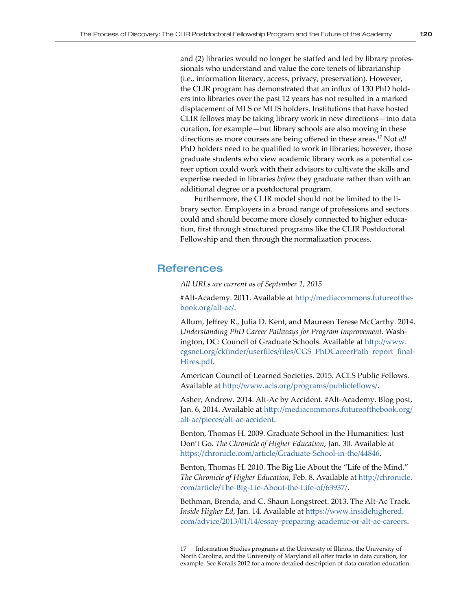and (2) libraries would no longer be staffed and led by library professionals who understand and value the core tenets of librarianship (i.e., information literacy, access, privacy, preservation). However, the CLIR program has demonstrated that an influx of 130 PhD holders into libraries over the past 12 years has not resulted in a marked displacement of MLS or MLIS holders. Institutions that have hosted CLIR fellows may be taking library work in new directions—into data curation, for example—but library schools are also moving in these directions as more courses are being offered in these areas.17 Not *all* PhD holders need to be qualified to work in libraries; however, those graduate students who view academic library work as a potential career option could work with their advisors to cultivate the skills and expertise needed in libraries *before* they graduate rather than with an additional degree or a postdoctoral program.

Furthermore, the CLIR model should not be limited to the library sector. Employers in a broad range of professions and sectors could and should become more closely connected to higher education, first through structured programs like the CLIR Postdoctoral Fellowship and then through the normalization process.

### References

*All URLs are current as of September 1, 2015*

#Alt-Academy. 2011. Available at [http://mediacommons.futureofthe](http://mediacommons.futureofthebook.org/alt-ac/)[book.org/alt-ac/](http://mediacommons.futureofthebook.org/alt-ac/).

Allum, Jeffrey R., Julia D. Kent, and Maureen Terese McCarthy. 2014. *Understanding PhD Career Pathways for Program Improvement*. Washington, DC: Council of Graduate Schools. Available at [http://www.](http://www.cgsnet.org/ckfinder/userfiles/files/CGS_PhDCareerPath_report_finalHires.pdf) [cgsnet.org/ckfinder/userfiles/files/CGS\\_PhDCareerPath\\_report\\_final](http://www.cgsnet.org/ckfinder/userfiles/files/CGS_PhDCareerPath_report_finalHires.pdf)-[Hires.pdf](http://www.cgsnet.org/ckfinder/userfiles/files/CGS_PhDCareerPath_report_finalHires.pdf).

American Council of Learned Societies. 2015. ACLS Public Fellows. Available at <http://www.acls.org/programs/publicfellows/>.

Asher, Andrew. 2014. Alt-Ac by Accident. #Alt-Academy. Blog post, Jan. 6, 2014. Available at [http://mediacommons.futureofthebook.org/](http://mediacommons.futureofthebook.org/alt-ac/pieces/alt-ac-accident) [alt-ac/pieces/alt-ac-accident](http://mediacommons.futureofthebook.org/alt-ac/pieces/alt-ac-accident).

Benton, Thomas H. 2009. Graduate School in the Humanities: Just Don't Go. *The Chronicle of Higher Education*, Jan. 30. Available at <https://chronicle.com/article/Graduate-School-in-the/44846>.

Benton, Thomas H. 2010. The Big Lie About the "Life of the Mind." *The Chronicle of Higher Education*, Feb. 8. Available at [http://chronicle.](http://chronicle.com/article/The-Big-Lie-About-the-Life-of/63937/) [com/article/The-Big-Lie-About-the-Life-of/63937/](http://chronicle.com/article/The-Big-Lie-About-the-Life-of/63937/).

Bethman, Brenda, and C. Shaun Longstreet. 2013. The Alt-Ac Track. *Inside Higher Ed*, Jan. 14. Available at [https://www.insidehighered.](https://www.insidehighered.com/advice/2013/01/14/essay-preparing-academic-or-alt-ac-careers) [com/advice/2013/01/14/essay-preparing-academic-or-alt-ac-careers](https://www.insidehighered.com/advice/2013/01/14/essay-preparing-academic-or-alt-ac-careers).

<sup>17</sup> Information Studies programs at the University of Illinois, the University of North Carolina, and the University of Maryland all offer tracks in data curation, for example. See Keralis 2012 for a more detailed description of data curation education.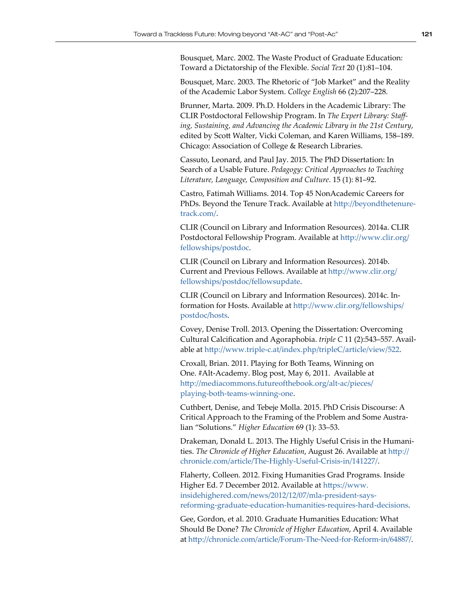Bousquet, Marc. 2002. The Waste Product of Graduate Education: Toward a Dictatorship of the Flexible. *Social Text* 20 (1):81–104.

Bousquet, Marc. 2003. The Rhetoric of "Job Market" and the Reality of the Academic Labor System. *College English* 66 (2):207–228.

Brunner, Marta. 2009. Ph.D. Holders in the Academic Library: The CLIR Postdoctoral Fellowship Program. In *The Expert Library: Staffing, Sustaining, and Advancing the Academic Library in the 21st Century*, edited by Scott Walter, Vicki Coleman, and Karen Williams, 158–189. Chicago: Association of College & Research Libraries.

Cassuto, Leonard, and Paul Jay. 2015. The PhD Dissertation: In Search of a Usable Future. *Pedagogy: Critical Approaches to Teaching Literature, Language, Composition and Culture*. 15 (1): 81–92.

Castro, Fatimah Williams. 2014. Top 45 NonAcademic Careers for PhDs. Beyond the Tenure Track. Available at [http://beyondthetenure](http://beyondthetenuretrack.com/)[track.com/](http://beyondthetenuretrack.com/).

CLIR (Council on Library and Information Resources). 2014a. CLIR Postdoctoral Fellowship Program. Available at [http://www.clir.org/](http://www.clir.org/fellowships/postdoc) [fellowships/postdoc](http://www.clir.org/fellowships/postdoc).

CLIR (Council on Library and Information Resources). 2014b. Current and Previous Fellows. Available at [http://www.clir.org/](http://www.clir.org/fellowships/postdoc/fellowsupdate) [fellowships/postdoc/fellowsupdate](http://www.clir.org/fellowships/postdoc/fellowsupdate).

CLIR (Council on Library and Information Resources). 2014c. Information for Hosts. Available at [http://www.clir.org/fellowships/](http://www.clir.org/fellowships/postdoc/hosts) [postdoc/hosts](http://www.clir.org/fellowships/postdoc/hosts).

Covey, Denise Troll. 2013. Opening the Dissertation: Overcoming Cultural Calcification and Agoraphobia. *triple C* 11 (2):543–557. Available at <http://www.triple-c.at/index.php/tripleC/article/view/522>.

Croxall, Brian. 2011. Playing for Both Teams, Winning on One. #Alt-Academy. Blog post, May 6, 2011. Available at [http://mediacommons.futureofthebook.org/alt-ac/pieces/](http://mediacommons.futureofthebook.org/alt-ac/pieces/playing-both-teams-winning-one) [playing-both-teams-winning-one](http://mediacommons.futureofthebook.org/alt-ac/pieces/playing-both-teams-winning-one).

Cuthbert, Denise, and Tebeje Molla. 2015. PhD Crisis Discourse: A Critical Approach to the Framing of the Problem and Some Australian "Solutions." *Higher Education* 69 (1): 33–53.

Drakeman, Donald L. 2013. The Highly Useful Crisis in the Humanities. *The Chronicle of Higher Education*, August 26. Available at [http://](http://chronicle.com/article/The-Highly-Useful-Crisis-in/141227/) [chronicle.com/article/The-Highly-Useful-Crisis-in/141227/](http://chronicle.com/article/The-Highly-Useful-Crisis-in/141227/).

Flaherty, Colleen. 2012. Fixing Humanities Grad Programs. Inside Higher Ed. 7 December 2012. Available at [https://www.](https://www.insidehighered.com/news/2012/12/07/mla-president-says-reforming-graduate-education-humanities-requires-hard-decisions) [insidehighered.com/news/2012/12/07/mla-president-says](https://www.insidehighered.com/news/2012/12/07/mla-president-says-reforming-graduate-education-humanities-requires-hard-decisions)[reforming-graduate-education-humanities-requires-hard-decisions](https://www.insidehighered.com/news/2012/12/07/mla-president-says-reforming-graduate-education-humanities-requires-hard-decisions).

Gee, Gordon, et al. 2010. Graduate Humanities Education: What Should Be Done? *The Chronicle of Higher Education*, April 4. Available at <http://chronicle.com/article/Forum-The-Need-for-Reform-in/64887/>.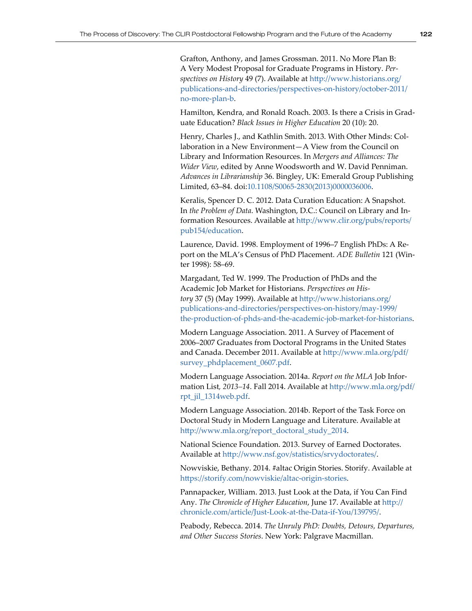Grafton, Anthony, and James Grossman. 2011. No More Plan B: A Very Modest Proposal for Graduate Programs in History. *Perspectives on History* 49 (7). Available at [http://www.historians.org/](http://www.historians.org/publications-and-directories/perspectives-on-history/october-2011/no-more-plan-b) [publications-and-directories/perspectives-on-history/october-2011/](http://www.historians.org/publications-and-directories/perspectives-on-history/october-2011/no-more-plan-b) [no-more-plan-b](http://www.historians.org/publications-and-directories/perspectives-on-history/october-2011/no-more-plan-b).

Hamilton, Kendra, and Ronald Roach. 2003. Is there a Crisis in Graduate Education? *Black Issues in Higher Education* 20 (10): 20.

Henry, Charles J., and Kathlin Smith. 2013. With Other Minds: Collaboration in a New Environment—A View from the Council on Library and Information Resources. In *Mergers and Alliances: The Wider View*, edited by Anne Woodsworth and W. David Penniman. *Advances in Librarianship* 36. Bingley, UK: Emerald Group Publishing Limited, 63–84. doi:[10.1108/S0065-2830\(2013\)0000036006](http://dx.doi.org/10.1108/S0065-2830%282013%290000036006).

Keralis, Spencer D. C. 2012. Data Curation Education: A Snapshot. In *the Problem of Data*. Washington, D.C.: Council on Library and Information Resources. Available at [http://www.clir.org/pubs/reports/](http://www.clir.org/pubs/reports/pub154/education) [pub154/education](http://www.clir.org/pubs/reports/pub154/education).

Laurence, David. 1998. Employment of 1996–7 English PhDs: A Report on the MLA's Census of PhD Placement. *ADE Bulletin* 121 (Winter 1998): 58–69.

Margadant, Ted W. 1999. The Production of PhDs and the Academic Job Market for Historians. *Perspectives on History* 37 (5) (May 1999). Available at [http://www.historians.org/](http://www.historians.org/publications-and-directories/perspectives-on-history/may-1999/the-production-of-phds-and-the-academic-job-market-for-historians) [publications-and-directories/perspectives-on-history/may-1999/](http://www.historians.org/publications-and-directories/perspectives-on-history/may-1999/the-production-of-phds-and-the-academic-job-market-for-historians) [the-production-of-phds-and-the-academic-job-market-for-historians](http://www.historians.org/publications-and-directories/perspectives-on-history/may-1999/the-production-of-phds-and-the-academic-job-market-for-historians).

Modern Language Association. 2011. A Survey of Placement of 2006–2007 Graduates from Doctoral Programs in the United States and Canada. December 2011. Available at [http://www.mla.org/pdf/](http://www.mla.org/pdf/survey_phdplacement_0607.pdf) [survey\\_phdplacement\\_0607.pdf](http://www.mla.org/pdf/survey_phdplacement_0607.pdf).

Modern Language Association. 2014a. *Report on the MLA* Job Information List*, 2013–14*. Fall 2014. Available at [http://www.mla.org/pdf/](http://www.mla.org/pdf/rpt_jil_1314web.pdf) [rpt\\_jil\\_1314web.pdf](http://www.mla.org/pdf/rpt_jil_1314web.pdf).

Modern Language Association. 2014b. Report of the Task Force on Doctoral Study in Modern Language and Literature. Available at [http://www.mla.org/report\\_doctoral\\_study\\_2014](http://www.mla.org/report_doctoral_study_2014).

National Science Foundation. 2013. Survey of Earned Doctorates. Available at <http://www.nsf.gov/statistics/srvydoctorates/>.

Nowviskie, Bethany. 2014. #altac Origin Stories. Storify. Available at <https://storify.com/nowviskie/altac-origin-stories>.

Pannapacker, William. 2013. Just Look at the Data, if You Can Find Any. *The Chronicle of Higher Education*, June 17. Available at [http://](http://chronicle.com/article/Just-Look-at-the-Data-if-You/139795/) [chronicle.com/article/Just-Look-at-the-Data-if-You/139795/](http://chronicle.com/article/Just-Look-at-the-Data-if-You/139795/).

Peabody, Rebecca. 2014. *The Unruly PhD: Doubts, Detours, Departures, and Other Success Stories*. New York: Palgrave Macmillan.